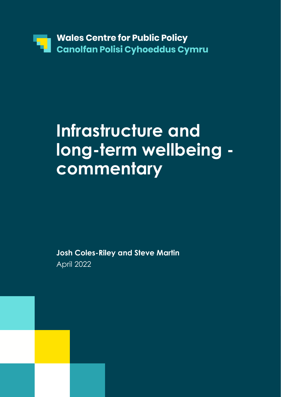

# **Infrastructure and long-term wellbeing commentary**

**Josh Coles-Riley and Steve Martin** April 2022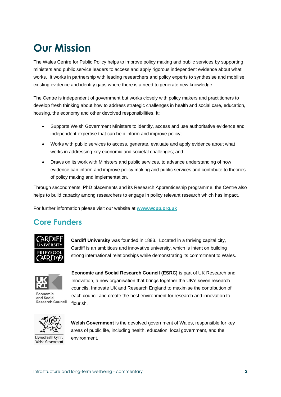### **Our Mission**

The Wales Centre for Public Policy helps to improve policy making and public services by supporting ministers and public service leaders to access and apply rigorous independent evidence about what works. It works in partnership with leading researchers and policy experts to synthesise and mobilise existing evidence and identify gaps where there is a need to generate new knowledge.

The Centre is independent of government but works closely with policy makers and practitioners to develop fresh thinking about how to address strategic challenges in health and social care, education, housing, the economy and other devolved responsibilities. It:

- Supports Welsh Government Ministers to identify, access and use authoritative evidence and independent expertise that can help inform and improve policy;
- Works with public services to access, generate, evaluate and apply evidence about what works in addressing key economic and societal challenges; and
- Draws on its work with Ministers and public services, to advance understanding of how evidence can inform and improve policy making and public services and contribute to theories of policy making and implementation.

Through secondments, PhD placements and its Research Apprenticeship programme, the Centre also helps to build capacity among researchers to engage in policy relevant research which has impact.

For further information please visit our website at **[www.wcpp.org.uk](http://www.wcpp.org.uk/)**

### **Core Funders**



**Cardiff University** was founded in 1883. Located in a thriving capital city, Cardiff is an ambitious and innovative university, which is intent on building strong international relationships while demonstrating its commitment to Wales.



Economic and Social **Research Council** 

**Economic and Social Research Council (ESRC)** is part of UK Research and Innovation, a new organisation that brings together the UK's seven research councils, Innovate UK and Research England to maximise the contribution of each council and create the best environment for research and innovation to flourish.



Llywodraeth Cymru Welsh Government

**Welsh Government** is the devolved government of Wales, responsible for key areas of public life, including health, education, local government, and the environment.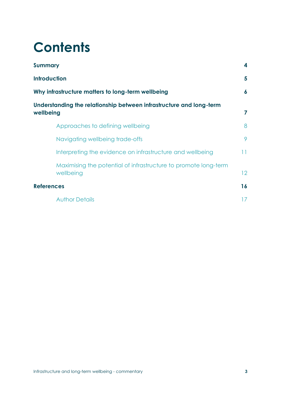## **Contents**

| <b>Summary</b>                                                                                                                                               |                                                                              | 4                          |  |                                  |   |
|--------------------------------------------------------------------------------------------------------------------------------------------------------------|------------------------------------------------------------------------------|----------------------------|--|----------------------------------|---|
| <b>Introduction</b><br>Why infrastructure matters to long-term wellbeing<br>Understanding the relationship between infrastructure and long-term<br>wellbeing |                                                                              | 5<br>$\boldsymbol{6}$<br>7 |  |                                  |   |
|                                                                                                                                                              |                                                                              |                            |  | Approaches to defining wellbeing | 8 |
|                                                                                                                                                              |                                                                              |                            |  | Navigating wellbeing trade-offs  | 9 |
|                                                                                                                                                              | Interpreting the evidence on infrastructure and wellbeing                    | 11                         |  |                                  |   |
|                                                                                                                                                              | Maximising the potential of infrastructure to promote long-term<br>wellbeing | 12                         |  |                                  |   |
| <b>References</b>                                                                                                                                            |                                                                              | 16                         |  |                                  |   |
|                                                                                                                                                              | <b>Author Details</b>                                                        | 17                         |  |                                  |   |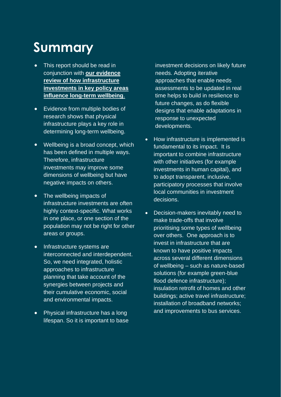## **Summary**

- **•** This report should be read in conjunction with **[our evidence](https://sway.office.com/Y2DEdKkW5s1hjzL4?ref=Link)  [review of how infrastructure](https://sway.office.com/Y2DEdKkW5s1hjzL4?ref=Link)  [investments in key policy areas](https://sway.office.com/Y2DEdKkW5s1hjzL4?ref=Link) [influence long-term wellbeing](https://sway.office.com/Y2DEdKkW5s1hjzL4?ref=Link)**.
- **•** Evidence from multiple bodies of research shows that physical infrastructure plays a key role in determining long-term wellbeing.
- **•** Wellbeing is a broad concept, which has been defined in multiple ways. Therefore, infrastructure investments may improve some dimensions of wellbeing but have negative impacts on others.
- **•** The wellbeing impacts of infrastructure investments are often highly context-specific. What works in one place, or one section of the population may not be right for other areas or groups.
- **•** Infrastructure systems are interconnected and interdependent. So, we need integrated, holistic approaches to infrastructure planning that take account of the synergies between projects and their cumulative economic, social and environmental impacts.
- **•** Physical infrastructure has a long lifespan. So it is important to base

investment decisions on likely future needs. Adopting iterative approaches that enable needs assessments to be updated in real time helps to build in resilience to future changes, as do flexible designs that enable adaptations in response to unexpected developments.

- How infrastructure is implemented is fundamental to its impact. It is important to combine infrastructure with other initiatives (for example investments in human capital), and to adopt transparent, inclusive, participatory processes that involve local communities in investment decisions.
- Decision-makers inevitably need to make trade-offs that involve prioritising some types of wellbeing over others. One approach is to invest in infrastructure that are known to have positive impacts across several different dimensions of wellbeing – such as nature-based solutions (for example green-blue flood defence infrastructure); insulation retrofit of homes and other buildings; active travel infrastructure; installation of broadband networks; and improvements to bus services.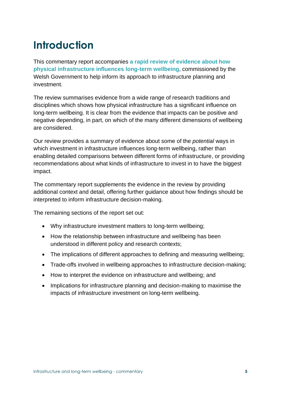### **Introduction**

This commentary report accompanies **[a rapid review of evidence about how](https://sway.office.com/Y2DEdKkW5s1hjzL4?ref=Link)  [physical infrastructure influences long-term wellbeing](https://sway.office.com/Y2DEdKkW5s1hjzL4?ref=Link)**, commissioned by the Welsh Government to help inform its approach to infrastructure planning and investment.

The review summarises evidence from a wide range of research traditions and disciplines which shows how physical infrastructure has a significant influence on long-term wellbeing. It is clear from the evidence that impacts can be positive and negative depending, in part, on which of the many different dimensions of wellbeing are considered.

Our review provides a summary of evidence about some of the *potential* ways in which investment in infrastructure influences long-term wellbeing, rather than enabling detailed comparisons between different forms of infrastructure, or providing recommendations about what kinds of infrastructure to invest in to have the biggest impact.

The commentary report supplements the evidence in the review by providing additional context and detail, offering further guidance about how findings should be interpreted to inform infrastructure decision-making.

The remaining sections of the report set out:

- Why infrastructure investment matters to long-term wellbeing;
- How the relationship between infrastructure and wellbeing has been understood in different policy and research contexts;
- The implications of different approaches to defining and measuring wellbeing;
- Trade-offs involved in wellbeing approaches to infrastructure decision-making;
- How to interpret the evidence on infrastructure and wellbeing; and
- Implications for infrastructure planning and decision-making to maximise the impacts of infrastructure investment on long-term wellbeing.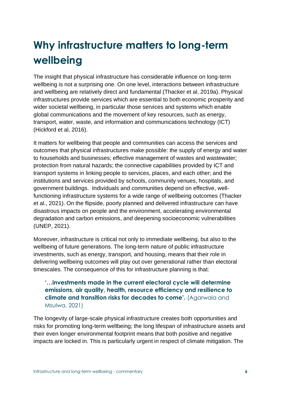### **Why infrastructure matters to long-term wellbeing**

The insight that physical infrastructure has considerable influence on long-term wellbeing is not a surprising one. On one level, interactions between infrastructure and wellbeing are relatively direct and fundamental (Thacker et al, 2019a). Physical infrastructures provide services which are essential to both economic prosperity and wider societal wellbeing, in particular those services and systems which enable global communications and the movement of key resources, such as energy, transport, water, waste, and information and communications technology (ICT) (Hickford et al, 2016).

It matters for wellbeing that people and communities can access the services and outcomes that physical infrastructures make possible: the supply of energy and water to households and businesses; effective management of wastes and wastewater; protection from natural hazards; the connective capabilities provided by ICT and transport systems in linking people to services, places, and each other; and the institutions and services provided by schools, community venues, hospitals, and government buildings. Individuals and communities depend on effective, wellfunctioning infrastructure systems for a wide range of wellbeing outcomes (Thacker et al., 2021). On the flipside, poorly planned and delivered infrastructure can have disastrous impacts on people and the environment, accelerating environmental degradation and carbon emissions, and deepening socioeconomic vulnerabilities (UNEP, 2021).

Moreover, infrastructure is critical not only to immediate wellbeing, but also to the wellbeing of future generations. The long-term nature of public infrastructure investments, such as energy, transport, and housing, means that their role in delivering wellbeing outcomes will play out over generational rather than electoral timescales. The consequence of this for infrastructure planning is that:

#### **'…investments made in the current electoral cycle will determine emissions, air quality, health, resource efficiency and resilience to climate and transition risks for decades to come'.** (Agarwala and Msulwa, 2021)

The longevity of large-scale physical infrastructure creates both opportunities and risks for promoting long-term wellbeing; the long lifespan of infrastructure assets and their even longer environmental footprint means that both positive and negative impacts are locked in. This is particularly urgent in respect of climate mitigation. The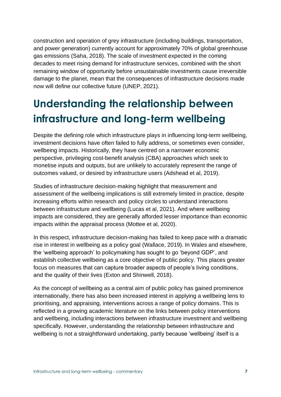construction and operation of grey infrastructure (including buildings, transportation, and power generation) currently account for approximately 70% of global greenhouse gas emissions (Saha, 2018). The scale of investment expected in the coming decades to meet rising demand for infrastructure services, combined with the short remaining window of opportunity before unsustainable investments cause irreversible damage to the planet, mean that the consequences of infrastructure decisions made now will define our collective future (UNEP, 2021).

### **Understanding the relationship between infrastructure and long-term wellbeing**

Despite the defining role which infrastructure plays in influencing long-term wellbeing, investment decisions have often failed to fully address, or sometimes even consider, wellbeing impacts. Historically, they have centred on a narrower economic perspective, privileging cost-benefit analysis (CBA) approaches which seek to monetise inputs and outputs, but are unlikely to accurately represent the range of outcomes valued, or desired by infrastructure users (Adshead et al, 2019).

Studies of infrastructure decision-making highlight that measurement and assessment of the wellbeing implications is still extremely limited in practice, despite increasing efforts within research and policy circles to understand interactions between infrastructure and wellbeing (Lucas et al, 2021). And where wellbeing impacts are considered, they are generally afforded lesser importance than economic impacts within the appraisal process (Mottee et al, 2020).

In this respect, infrastructure decision-making has failed to keep pace with a dramatic rise in interest in wellbeing as a policy goal (Wallace, 2019). In Wales and elsewhere, the 'wellbeing approach' to policymaking has sought to go 'beyond GDP', and establish collective wellbeing as a core objective of public policy. This places greater focus on measures that can capture broader aspects of people's living conditions, and the quality of their lives (Exton and Shinwell, 2018).

As the concept of wellbeing as a central aim of public policy has gained prominence internationally, there has also been increased interest in applying a wellbeing lens to prioritising, and appraising, interventions across a range of policy domains. This is reflected in a growing academic literature on the links between policy interventions and wellbeing, including interactions between infrastructure investment and wellbeing specifically. However, understanding the relationship between infrastructure and wellbeing is not a straightforward undertaking, partly because 'wellbeing' itself is a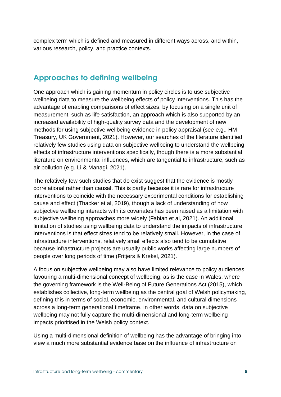complex term which is defined and measured in different ways across, and within, various research, policy, and practice contexts.

#### **Approaches to defining wellbeing**

One approach which is gaining momentum in policy circles is to use subjective wellbeing data to measure the wellbeing effects of policy interventions. This has the advantage of enabling comparisons of effect sizes, by focusing on a single unit of measurement, such as life satisfaction, an approach which is also supported by an increased availability of high-quality survey data and the development of new methods for using subjective wellbeing evidence in policy appraisal (see e.g., HM Treasury, UK Government, 2021). However, our searches of the literature identified relatively few studies using data on subjective wellbeing to understand the wellbeing effects of infrastructure interventions specifically, though there is a more substantial literature on environmental influences, which are tangential to infrastructure, such as air pollution (e.g. Li & Managi, 2021).

The relatively few such studies that do exist suggest that the evidence is mostly correlational rather than causal. This is partly because it is rare for infrastructure interventions to coincide with the necessary experimental conditions for establishing cause and effect (Thacker et al, 2019), though a lack of understanding of how subjective wellbeing interacts with its covariates has been raised as a limitation with subjective wellbeing approaches more widely (Fabian et al, 2021). An additional limitation of studies using wellbeing data to understand the impacts of infrastructure interventions is that effect sizes tend to be relatively small. However, in the case of infrastructure interventions, relatively small effects also tend to be cumulative because infrastructure projects are usually public works affecting large numbers of people over long periods of time (Fritjers & Krekel, 2021).

A focus on subjective wellbeing may also have limited relevance to policy audiences favouring a multi-dimensional concept of wellbeing, as is the case in Wales, where the governing framework is the Well-Being of Future Generations Act (2015), which establishes collective, long-term wellbeing as the central goal of Welsh policymaking, defining this in terms of social, economic, environmental, and cultural dimensions across a long-term generational timeframe. In other words, data on subjective wellbeing may not fully capture the multi-dimensional and long-term wellbeing impacts prioritised in the Welsh policy context.

Using a multi-dimensional definition of wellbeing has the advantage of bringing into view a much more substantial evidence base on the influence of infrastructure on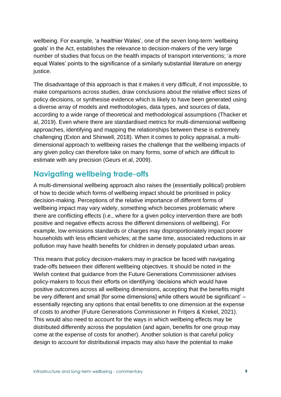wellbeing. For example, 'a healthier Wales', one of the seven long-term 'wellbeing goals' in the Act, establishes the relevance to decision-makers of the very large number of studies that focus on the health impacts of transport interventions; 'a more equal Wales' points to the significance of a similarly substantial literature on energy justice.

The disadvantage of this approach is that it makes it very difficult, if not impossible, to make comparisons across studies, draw conclusions about the relative effect sizes of policy decisions, or synthesise evidence which is likely to have been generated using a diverse array of models and methodologies, data types, and sources of data, according to a wide range of theoretical and methodological assumptions (Thacker et al, 2019). Even where there are standardised metrics for multi-dimensional wellbeing approaches, identifying and mapping the relationships between these is extremely challenging (Exton and Shinwell, 2018). When it comes to policy appraisal, a multidimensional approach to wellbeing raises the challenge that the wellbeing impacts of any given policy can therefore take on many forms, some of which are difficult to estimate with any precision (Geurs et al, 2009).

#### **Navigating wellbeing trade-offs**

A multi-dimensional wellbeing approach also raises the (essentially political) problem of how to decide which forms of wellbeing impact should be prioritised in policy decision-making. Perceptions of the relative importance of different forms of wellbeing impact may vary widely, something which becomes problematic where there are conflicting effects (i.e., where for a given policy intervention there are both positive and negative effects across the different dimensions of wellbeing). For example, low emissions standards or charges may disproportionately impact poorer households with less efficient vehicles; at the same time, associated reductions in air pollution may have health benefits for children in densely populated urban areas.

This means that policy decision-makers may in practice be faced with navigating trade-offs between their different wellbeing objectives. It should be noted in the Welsh context that guidance from the Future Generations Commissioner advises policy-makers to focus their efforts on identifying 'decisions which would have positive outcomes across all wellbeing dimensions, accepting that the benefits might be very different and small [for some dimensions] while others would be significant' – essentially rejecting any options that entail benefits to one dimension at the expense of costs to another (Future Generations Commissioner in Fritjers & Krekel, 2021). This would also need to account for the ways in which wellbeing effects may be distributed differently across the population (and again, benefits for one group may come at the expense of costs for another). Another solution is that careful policy design to account for distributional impacts may also have the potential to make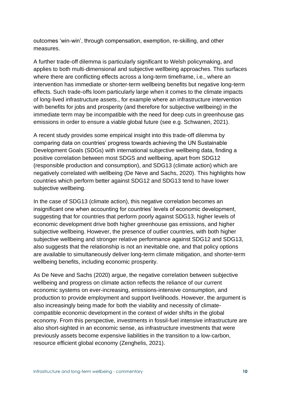outcomes 'win-win', through compensation, exemption, re-skilling, and other measures.

A further trade-off dilemma is particularly significant to Welsh policymaking, and applies to both multi-dimensional and subjective wellbeing approaches. This surfaces where there are conflicting effects across a long-term timeframe, i.e., where an intervention has immediate or shorter-term wellbeing benefits but negative long-term effects. Such trade-offs loom particularly large when it comes to the climate impacts of long-lived infrastructure assets., for example where an infrastructure intervention with benefits for jobs and prosperity (and therefore for subjective wellbeing) in the immediate term may be incompatible with the need for deep cuts in greenhouse gas emissions in order to ensure a viable global future (see e.g. Schwanen, 2021).

A recent study provides some empirical insight into this trade-off dilemma by comparing data on countries' progress towards achieving the UN Sustainable Development Goals (SDGs) with international subjective wellbeing data, finding a positive correlation between most SDGS and wellbeing, apart from SDG12 (responsible production and consumption), and SDG13 (climate action) which are negatively correlated with wellbeing (De Neve and Sachs, 2020). This highlights how countries which perform better against SDG12 and SDG13 tend to have lower subjective wellbeing.

In the case of SDG13 (climate action), this negative correlation becomes an insignificant one when accounting for countries' levels of economic development, suggesting that for countries that perform poorly against SDG13, higher levels of economic development drive both higher greenhouse gas emissions, and higher subjective wellbeing. However, the presence of outlier countries, with both higher subjective wellbeing and stronger relative performance against SDG12 and SDG13, also suggests that the relationship is not an inevitable one, and that policy options are available to simultaneously deliver long-term climate mitigation, and shorter-term wellbeing benefits, including economic prosperity.

As De Neve and Sachs (2020) argue, the negative correlation between subjective wellbeing and progress on climate action reflects the reliance of our current economic systems on ever-increasing, emissions-intensive consumption, and production to provide employment and support livelihoods. However, the argument is also increasingly being made for both the viability and necessity of climatecompatible economic development in the context of wider shifts in the global economy. From this perspective, investments in fossil-fuel intensive infrastructure are also short-sighted in an economic sense, as infrastructure investments that were previously assets become expensive liabilities in the transition to a low-carbon, resource efficient global economy (Zenghelis, 2021).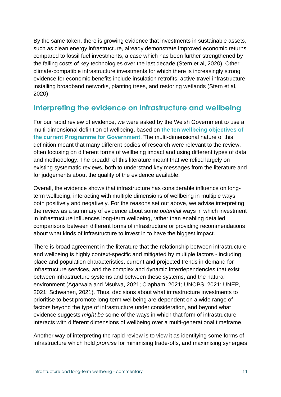By the same token, there is growing evidence that investments in sustainable assets, such as clean energy infrastructure, already demonstrate improved economic returns compared to fossil fuel investments, a case which has been further strengthened by the falling costs of key technologies over the last decade (Stern et al, 2020). Other climate-compatible infrastructure investments for which there is increasingly strong evidence for economic benefits include insulation retrofits, active travel infrastructure, installing broadband networks, planting trees, and restoring wetlands (Stern et al, 2020).

#### **Interpreting the evidence on infrastructure and wellbeing**

For our rapid review of evidence, we were asked by the Welsh Government to use a multi-dimensional definition of wellbeing, based on **[the ten wellbeing objectives of](https://gov.wales/programme-for-government-2021-to-2026-well-being-statement-html)  [the current Programme for Government](https://gov.wales/programme-for-government-2021-to-2026-well-being-statement-html)**. The multi-dimensional nature of this definition meant that many different bodies of research were relevant to the review, often focusing on different forms of wellbeing impact and using different types of data and methodology. The breadth of this literature meant that we relied largely on existing systematic reviews, both to understand key messages from the literature and for judgements about the quality of the evidence available.

Overall, the evidence shows that infrastructure has considerable influence on longterm wellbeing, interacting with multiple dimensions of wellbeing in multiple ways, both positively and negatively. For the reasons set out above, we advise interpreting the review as a summary of evidence about some *potential* ways in which investment in infrastructure influences long-term wellbeing, rather than enabling detailed comparisons between different forms of infrastructure or providing recommendations about what kinds of infrastructure to invest in to have the biggest impact.

There is broad agreement in the literature that the relationship between infrastructure and wellbeing is highly context-specific and mitigated by multiple factors - including place and population characteristics, current and projected trends in demand for infrastructure services, and the complex and dynamic interdependencies that exist between infrastructure systems and between these systems, and the natural environment (Agarwala and Msulwa, 2021; Clapham, 2021; UNOPS, 2021; UNEP, 2021; Schwanen, 2021). Thus, decisions about what infrastructure investments to prioritise to best promote long-term wellbeing are dependent on a wide range of factors beyond the type of infrastructure under consideration, and beyond what evidence suggests *might be* some of the ways in which that form of infrastructure interacts with different dimensions of wellbeing over a multi-generational timeframe.

Another way of interpreting the rapid review is to view it as identifying some forms of infrastructure which hold *promise* for minimising trade-offs, and maximising synergies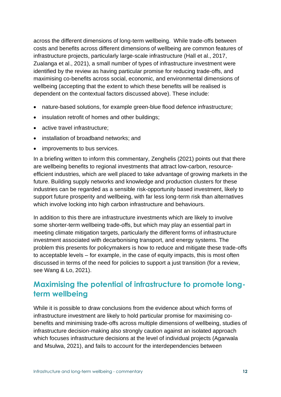across the different dimensions of long-term wellbeing. While trade-offs between costs and benefits across different dimensions of wellbeing are common features of infrastructure projects, particularly large-scale infrastructure (Hall et al., 2017, Zualanga et al., 2021), a small number of types of infrastructure investment were identified by the review as having particular promise for reducing trade-offs, and maximising co-benefits across social, economic, and environmental dimensions of wellbeing (accepting that the extent to which these benefits will be realised is dependent on the contextual factors discussed above). These include:

- nature-based solutions, for example green-blue flood defence infrastructure;
- insulation retrofit of homes and other buildings;
- active travel infrastructure;
- installation of broadband networks; and
- improvements to bus services.

In a briefing written to inform this commentary, Zenghelis (2021) points out that there are wellbeing benefits to regional investments that attract low-carbon, resourceefficient industries, which are well placed to take advantage of growing markets in the future. Building supply networks and knowledge and production clusters for these industries can be regarded as a sensible risk-opportunity based investment, likely to support future prosperity and wellbeing, with far less long-term risk than alternatives which involve locking into high carbon infrastructure and behaviours.

In addition to this there are infrastructure investments which are likely to involve some shorter-term wellbeing trade-offs, but which may play an essential part in meeting climate mitigation targets, particularly the different forms of infrastructure investment associated with decarbonising transport, and energy systems. The problem this presents for policymakers is how to reduce and mitigate these trade-offs to acceptable levels – for example, in the case of equity impacts, this is most often discussed in terms of the need for policies to support a just transition (for a review, see Wang & Lo, 2021).

### **Maximising the potential of infrastructure to promote longterm wellbeing**

While it is possible to draw conclusions from the evidence about which forms of infrastructure investment are likely to hold particular promise for maximising cobenefits and minimising trade-offs across multiple dimensions of wellbeing, studies of infrastructure decision-making also strongly caution against an isolated approach which focuses infrastructure decisions at the level of individual projects (Agarwala and Msulwa, 2021), and fails to account for the interdependencies between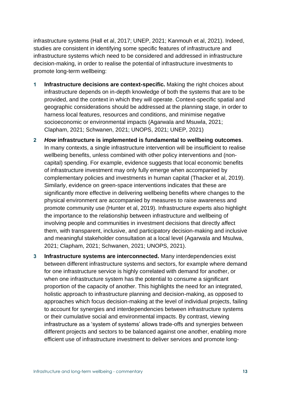infrastructure systems (Hall et al, 2017; UNEP, 2021; Kanmouh et al, 2021). Indeed, studies are consistent in identifying some specific features of infrastructure and infrastructure systems which need to be considered and addressed in infrastructure decision-making, in order to realise the potential of infrastructure investments to promote long-term wellbeing:

- **1 Infrastructure decisions are context-specific.** Making the right choices about infrastructure depends on in-depth knowledge of both the systems that are to be provided, and the context in which they will operate. Context-specific spatial and geographic considerations should be addressed at the planning stage, in order to harness local features, resources and conditions, and minimise negative socioeconomic or environmental impacts (Agarwala and Msuwla, 2021; Clapham, 2021; Schwanen, 2021; UNOPS, 2021; UNEP, 2021)
- **2** *How* **infrastructure is implemented is fundamental to wellbeing outcomes**. In many contexts, a single infrastructure intervention will be insufficient to realise wellbeing benefits, unless combined with other policy interventions and (noncapital) spending. For example, evidence suggests that local economic benefits of infrastructure investment may only fully emerge when accompanied by complementary policies and investments in human capital (Thacker et al, 2019). Similarly, evidence on green-space interventions indicates that these are significantly more effective in delivering wellbeing benefits where changes to the physical environment are accompanied by measures to raise awareness and promote community use (Hunter et al, 2019). Infrastructure experts also highlight the importance to the relationship between infrastructure and wellbeing of involving people and communities in investment decisions that directly affect them, with transparent, inclusive, and participatory decision-making and inclusive and meaningful stakeholder consultation at a local level (Agarwala and Msulwa, 2021; Clapham, 2021; Schwanen, 2021; UNOPS, 2021).
- **3 Infrastructure systems are interconnected.** Many interdependencies exist between different infrastructure systems and sectors, for example where demand for one infrastructure service is highly correlated with demand for another, or when one infrastructure system has the potential to consume a significant proportion of the capacity of another. This highlights the need for an integrated, holistic approach to infrastructure planning and decision-making, as opposed to approaches which focus decision-making at the level of individual projects, failing to account for synergies and interdependencies between infrastructure systems or their cumulative social and environmental impacts. By contrast, viewing infrastructure as a 'system of systems' allows trade-offs and synergies between different projects and sectors to be balanced against one another, enabling more efficient use of infrastructure investment to deliver services and promote long-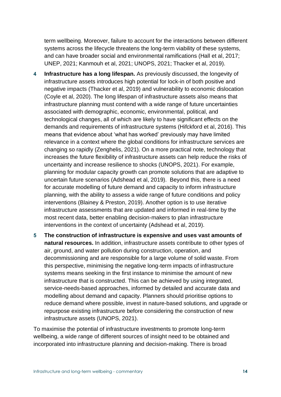term wellbeing. Moreover, failure to account for the interactions between different systems across the lifecycle threatens the long-term viability of these systems, and can have broader social and environmental ramifications (Hall et al, 2017; UNEP, 2021; Kanmouh et al, 2021; UNOPS, 2021; Thacker et al, 2019).

- **4 Infrastructure has a long lifespan.** As previously discussed, the longevity of infrastructure assets introduces high potential for lock-in of both positive and negative impacts (Thacker et al, 2019) and vulnerability to economic dislocation (Coyle et al, 2020). The long lifespan of infrastructure assets also means that infrastructure planning must contend with a wide range of future uncertainties associated with demographic, economic, environmental, political, and technological changes, all of which are likely to have significant effects on the demands and requirements of infrastructure systems (Hifckford et al, 2016). This means that evidence about 'what has worked' previously may have limited relevance in a context where the global conditions for infrastructure services are changing so rapidly (Zenghelis, 2021). On a more practical note, technology that increases the future flexibility of infrastructure assets can help reduce the risks of uncertainty and increase resilience to shocks (UNOPS, 2021). For example, planning for modular capacity growth can promote solutions that are adaptive to uncertain future scenarios (Adshead et al, 2019). Beyond this, there is a need for accurate modelling of future demand and capacity to inform infrastructure planning, with the ability to assess a wide range of future conditions and policy interventions (Blainey & Preston, 2019). Another option is to use iterative infrastructure assessments that are updated and informed in real-time by the most recent data, better enabling decision-makers to plan infrastructure interventions in the context of uncertainty (Adshead et al, 2019).
- **5 The construction of infrastructure is expensive and uses vast amounts of natural resources.** In addition, infrastructure assets contribute to other types of air, ground, and water pollution during construction, operation, and decommissioning and are responsible for a large volume of solid waste. From this perspective, minimising the negative long-term impacts of infrastructure systems means seeking in the first instance to minimise the amount of new infrastructure that is constructed. This can be achieved by using integrated, service-needs-based approaches, informed by detailed and accurate data and modelling about demand and capacity. Planners should prioritise options to reduce demand where possible, invest in nature-based solutions, and upgrade or repurpose existing infrastructure before considering the construction of new infrastructure assets (UNOPS, 2021).

To maximise the potential of infrastructure investments to promote long-term wellbeing, a wide range of different sources of insight need to be obtained and incorporated into infrastructure planning and decision-making. There is broad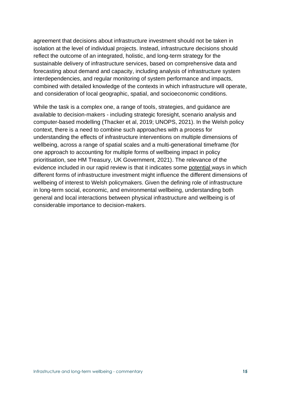agreement that decisions about infrastructure investment should not be taken in isolation at the level of individual projects. Instead, infrastructure decisions should reflect the outcome of an integrated, holistic, and long-term strategy for the sustainable delivery of infrastructure services, based on comprehensive data and forecasting about demand and capacity, including analysis of infrastructure system interdependencies, and regular monitoring of system performance and impacts, combined with detailed knowledge of the contexts in which infrastructure will operate, and consideration of local geographic, spatial, and socioeconomic conditions.

While the task is a complex one, a range of tools, strategies, and guidance are available to decision-makers - including strategic foresight, scenario analysis and computer-based modelling (Thacker et al, 2019; UNOPS, 2021). In the Welsh policy context, there is a need to combine such approaches with a process for understanding the effects of infrastructure interventions on multiple dimensions of wellbeing, across a range of spatial scales and a multi-generational timeframe (for one approach to accounting for multiple forms of wellbeing impact in policy prioritisation, see HM Treasury, UK Government, 2021). The relevance of the evidence included in our rapid review is that it indicates some potential ways in which different forms of infrastructure investment might influence the different dimensions of wellbeing of interest to Welsh policymakers. Given the defining role of infrastructure in long-term social, economic, and environmental wellbeing, understanding both general and local interactions between physical infrastructure and wellbeing is of considerable importance to decision-makers.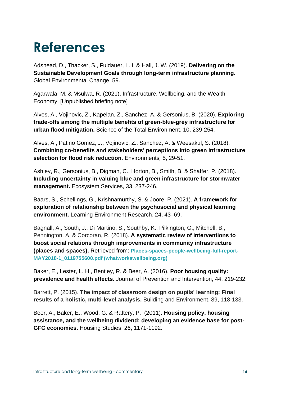## **References**

Adshead, D., Thacker, S., Fuldauer, L. I. & Hall, J. W. (2019). **Delivering on the Sustainable Development Goals through long-term infrastructure planning.** Global Environmental Change, 59.

Agarwala, M. & Msulwa, R. (2021). Infrastructure, Wellbeing, and the Wealth Economy. [Unpublished briefing note]

Alves, A., Vojinovic, Z., Kapelan, Z., Sanchez, A. & Gersonius, B. (2020). **Exploring trade-offs among the multiple benefits of green-blue-grey infrastructure for urban flood mitigation.** Science of the Total Environment, 10, 239-254.

Alves, A., Patino Gomez, J., Vojinovic, Z., Sanchez, A. & Weesakul, S. (2018). **Combining co-benefits and stakeholders' perceptions into green infrastructure selection for flood risk reduction.** Environments*,* 5, 29-51.

Ashley, R.*,* Gersonius, B., Digman, C., Horton, B., Smith, B. & Shaffer, P. (2018). **Including uncertainty in valuing blue and green infrastructure for stormwater management.** Ecosystem Services, 33, 237-246.

Baars, S., Schellings, G., Krishnamurthy, S. & Joore, P. (2021). **A framework for exploration of relationship between the psychosocial and physical learning environment.** Learning Environment Research, 24, 43–69.

Bagnall, A., South, J., Di Martino, S., Southby, K., Pilkington, G., Mitchell, B., Pennington, A. & Corcoran, R. (2018). **A systematic review of interventions to boost social relations through improvements in community infrastructure (places and spaces).** Retrieved from: **[Places-spaces-people-wellbeing-full-report-](https://whatworkswellbeing.org/wp-content/uploads/2020/01/Places-spaces-people-wellbeing-full-report-MAY2018-1_0119755600.pdf)[MAY2018-1\\_0119755600.pdf \(whatworkswellbeing.org\)](https://whatworkswellbeing.org/wp-content/uploads/2020/01/Places-spaces-people-wellbeing-full-report-MAY2018-1_0119755600.pdf)**

Baker, E., Lester, L. H., Bentley, R. & Beer, A. (2016). **Poor housing quality: prevalence and health effects.** Journal of Prevention and Intervention, 44, 219-232.

Barrett, P. (2015). **The impact of classroom design on pupils' learning: Final results of a holistic, multi-level analysis.** Building and Environment, 89, 118-133.

Beer, A., Baker, E., Wood, G. & Raftery, P. (2011). **Housing policy, housing assistance, and the wellbeing dividend: developing an evidence base for post-GFC economies.** Housing Studies, 26, 1171-1192.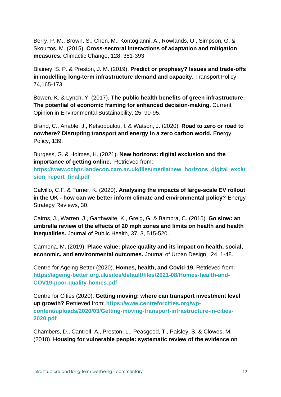Berry, P. M., Brown, S., Chen, M., Kontogianni, A., Rowlands, O., Simpson, G. & Skourtos, M. (2015). **Cross-sectoral interactions of adaptation and mitigation measures.** Climactic Change, 128, 381-393.

Blainey, S. P. & Preston, J. M. (2019). **Predict or prophesy? Issues and trade-offs in modelling long-term infrastructure demand and capacity.** Transport Policy, 74,165-173.

Bowen, K. & Lynch, Y. (2017). **The public health benefits of green infrastructure: The potential of economic framing for enhanced decision-making.** Current Opinion in Environmental Sustainability, 25, 90-95.

Brand, C., Anable, J., Ketsopoulou, I. & Watson, J. (2020). **Road to zero or road to nowhere? Disrupting transport and energy in a zero carbon world.** Energy Policy, 139.

Burgess, G. & Holmes, H. (2021). **New horizons: digital exclusion and the importance of getting online.** Retrieved from:

**[https://www.cchpr.landecon.cam.ac.uk/files/media/new\\_horizons\\_digital\\_exclu](https://www.cchpr.landecon.cam.ac.uk/files/media/new_horizons_digital_exclusion_report_final.pdf)** sion report final.pdf

Calvillo, C.F. & Turner, K. (2020). **Analysing the impacts of large-scale EV rollout in the UK - how can we better inform climate and environmental policy?** Energy Strategy Reviews, 30.

Cairns, J., Warren, J., Garthwaite, K., Greig, G. & Bambra, C. (2015). **Go slow: an umbrella review of the effects of 20 mph zones and limits on health and health inequalities.** Journal of Public Health, 37, 3, 515-520.

Carmona, M. (2019). **Place value: place quality and its impact on health, social, economic, and environmental outcomes.** Journal of Urban Design, 24, 1-48.

Centre for Ageing Better (2020). **Homes, health, and Covid-19.** Retrieved from: **[https://ageing-better.org.uk/sites/default/files/2021-08/Homes-health-and-](https://ageing-better.org.uk/sites/default/files/2021-08/Homes-health-and-COV19-poor-quality-homes.pdf)[COV19-poor-quality-homes.pdf](https://ageing-better.org.uk/sites/default/files/2021-08/Homes-health-and-COV19-poor-quality-homes.pdf)**

Centre for Cities (2020). **Getting moving: where can transport investment level up growth?** Retrieved from: **[https://www.centreforcities.org/wp](https://www.centreforcities.org/wp-content/uploads/2020/03/Getting-moving-transport-infrastructure-in-cities-2020.pdf)[content/uploads/2020/03/Getting-moving-transport-infrastructure-in-cities-](https://www.centreforcities.org/wp-content/uploads/2020/03/Getting-moving-transport-infrastructure-in-cities-2020.pdf)[2020.pdf](https://www.centreforcities.org/wp-content/uploads/2020/03/Getting-moving-transport-infrastructure-in-cities-2020.pdf)**

Chambers, D., Cantrell, A., Preston, L., Peasgood, T., Paisley, S. & Clowes, M. (2018). **Housing for vulnerable people: systematic review of the evidence on**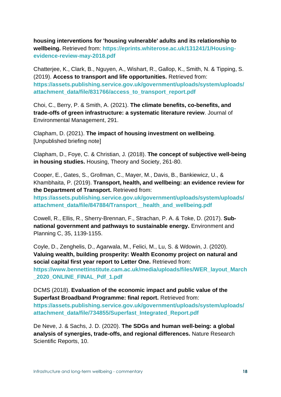**housing interventions for 'housing vulnerable' adults and its relationship to wellbeing.** Retrieved from: **[https://eprints.whiterose.ac.uk/131241/1/Housing](https://eprints.whiterose.ac.uk/131241/1/Housing-evidence-review-may-2018.pdf)[evidence-review-may-2018.pdf](https://eprints.whiterose.ac.uk/131241/1/Housing-evidence-review-may-2018.pdf)**

Chatterjee, K., Clark, B., Nguyen, A., Wishart, R., Gallop, K., Smith, N. & Tipping, S. (2019). **Access to transport and life opportunities.** Retrieved from: **[https://assets.publishing.service.gov.uk/government/uploads/system/uploads/](https://assets.publishing.service.gov.uk/government/uploads/system/uploads/attachment_data/file/831766/access_to_transport_report.pdf) [attachment\\_data/file/831766/access\\_to\\_transport\\_report.pdf](https://assets.publishing.service.gov.uk/government/uploads/system/uploads/attachment_data/file/831766/access_to_transport_report.pdf)**

Choi, C., Berry, P. & Smith, A. (2021). **The climate benefits, co-benefits, and trade-offs of green infrastructure: a systematic literature review**. Journal of Environmental Management, 291.

Clapham, D. (2021). **The impact of housing investment on wellbeing**. [Unpublished briefing note]

Clapham, D., Foye, C. & Christian, J*.* (2018). **The concept of subjective well-being in housing studies.** Housing, Theory and Society, 261-80.

Cooper, E*.*, Gates, S., Grollman, C., Mayer, M., Davis, B., Bankiewicz, U., & Khambhaita, P. (2019). **Transport, health, and wellbeing: an evidence review for the Department of Transport.** Retrieved from:

**[https://assets.publishing.service.gov.uk/government/uploads/system/uploads/](https://assets.publishing.service.gov.uk/government/uploads/system/uploads/attachment_data/file/847884/Transport__health_and_wellbeing.pdf) [attachment\\_data/file/847884/Transport\\_\\_health\\_and\\_wellbeing.pdf](https://assets.publishing.service.gov.uk/government/uploads/system/uploads/attachment_data/file/847884/Transport__health_and_wellbeing.pdf)**

Cowell, R., Ellis, R., Sherry-Brennan, F., Strachan, P. A. & Toke, D. (2017). **Subnational government and pathways to sustainable energy.** Environment and Planning C, 35, 1139-1155.

Coyle, D., Zenghelis, D., Agarwala, M., Felici, M., Lu, S. & Wdowin, J. (2020). **Valuing wealth, building prosperity: Wealth Economy project on natural and social capital first year report to Letter One.** Retrieved from: **[https://www.bennettinstitute.cam.ac.uk/media/uploads/files/WER\\_layout\\_March](https://www.bennettinstitute.cam.ac.uk/media/uploads/files/WER_layout_March_2020_ONLINE_FINAL_Pdf_1.pdf) [\\_2020\\_ONLINE\\_FINAL\\_Pdf\\_1.pdf](https://www.bennettinstitute.cam.ac.uk/media/uploads/files/WER_layout_March_2020_ONLINE_FINAL_Pdf_1.pdf)**

DCMS (2018). **Evaluation of the economic impact and public value of the Superfast Broadband Programme: final report.** Retrieved from: **[https://assets.publishing.service.gov.uk/government/uploads/system/uploads/](https://assets.publishing.service.gov.uk/government/uploads/system/uploads/attachment_data/file/734855/Superfast_Integrated_Report.pdf) [attachment\\_data/file/734855/Superfast\\_Integrated\\_Report.pdf](https://assets.publishing.service.gov.uk/government/uploads/system/uploads/attachment_data/file/734855/Superfast_Integrated_Report.pdf)**

De Neve, J. & Sachs, J. D. (2020). **The SDGs and human well-being: a global analysis of synergies, trade-offs, and regional differences.** Nature Research Scientific Reports, 10.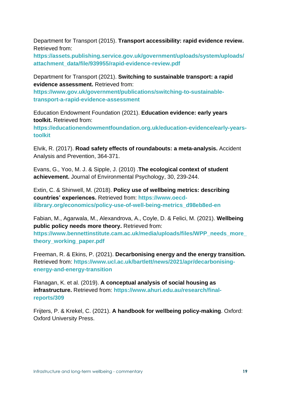Department for Transport (2015). **Transport accessibility: rapid evidence review.** Retrieved from:

**[https://assets.publishing.service.gov.uk/government/uploads/system/uploads/](https://assets.publishing.service.gov.uk/government/uploads/system/uploads/attachment_data/file/939955/rapid-evidence-review.pdf) [attachment\\_data/file/939955/rapid-evidence-review.pdf](https://assets.publishing.service.gov.uk/government/uploads/system/uploads/attachment_data/file/939955/rapid-evidence-review.pdf)**

Department for Transport (2021). **Switching to sustainable transport: a rapid evidence assessment.** Retrieved from:

**[https://www.gov.uk/government/publications/switching-to-sustainable](https://www.gov.uk/government/publications/switching-to-sustainable-transport-a-rapid-evidence-assessment)[transport-a-rapid-evidence-assessment](https://www.gov.uk/government/publications/switching-to-sustainable-transport-a-rapid-evidence-assessment)**

Education Endowment Foundation (2021). **Education evidence: early years toolkit.** Retrieved from:

**[https://educationendowmentfoundation.org.uk/education-evidence/early-years](https://educationendowmentfoundation.org.uk/education-evidence/early-years-toolkit)[toolkit](https://educationendowmentfoundation.org.uk/education-evidence/early-years-toolkit)**

Elvik, R. (2017). **Road safety effects of roundabouts: a meta-analysis.** Accident Analysis and Prevention, 364-371.

Evans, G.*,* Yoo, M. J. & Sipple, J. (2010) .**The ecological context of student achievement.** Journal of Environmental Psychology, 30, 239-244.

Extin, C. & Shinwell, M. (2018). **Policy use of wellbeing metrics: describing countries' experiences.** Retrieved from: **[https://www.oecd](https://www.oecd-ilibrary.org/economics/policy-use-of-well-being-metrics_d98eb8ed-en)[ilibrary.org/economics/policy-use-of-well-being-metrics\\_d98eb8ed-en](https://www.oecd-ilibrary.org/economics/policy-use-of-well-being-metrics_d98eb8ed-en)**

Fabian, M., Agarwala, M., Alexandrova, A., Coyle, D. & Felici, M. (2021). **Wellbeing public policy needs more theory.** Retrieved from:

**[https://www.bennettinstitute.cam.ac.uk/media/uploads/files/WPP\\_needs\\_more\\_](https://www.bennettinstitute.cam.ac.uk/media/uploads/files/WPP_needs_more_theory_working_paper.pdf) [theory\\_working\\_paper.pdf](https://www.bennettinstitute.cam.ac.uk/media/uploads/files/WPP_needs_more_theory_working_paper.pdf)**

Freeman, R. & Ekins, P. (2021). **Decarbonising energy and the energy transition.**  Retrieved from: **[https://www.ucl.ac.uk/bartlett/news/2021/apr/decarbonising](https://www.ucl.ac.uk/bartlett/news/2021/apr/decarbonising-energy-and-energy-transition)[energy-and-energy-transition](https://www.ucl.ac.uk/bartlett/news/2021/apr/decarbonising-energy-and-energy-transition)**

Flanagan, K. et al. (2019). **A conceptual analysis of social housing as infrastructure.** Retrieved from: **[https://www.ahuri.edu.au/research/final](https://www.ahuri.edu.au/research/final-reports/309)[reports/309](https://www.ahuri.edu.au/research/final-reports/309)**

Frijters, P. & Krekel, C. (2021). **A handbook for wellbeing policy-making**. Oxford: Oxford University Press.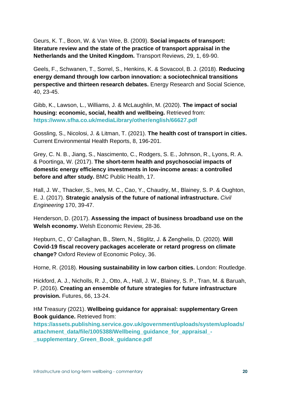Geurs, K. T., Boon, W. & Van Wee, B. (2009). **Social impacts of transport: literature review and the state of the practice of transport appraisal in the Netherlands and the United Kingdom.** Transport Reviews, 29, 1, 69-90.

Geels, F., Schwanen, T., Sorrel, S., Henkins, K. & Sovacool, B. J. (2018). **Reducing energy demand through low carbon innovation: a sociotechnical transitions perspective and thirteen research debates.** Energy Research and Social Science*,*  40, 23-45.

Gibb, K., Lawson, L*.*, Williams, J. & McLaughlin, M. (2020). **The impact of social housing: economic, social, health and wellbeing.** Retrieved from: **<https://www.sfha.co.uk/mediaLibrary/other/english/66627.pdf>**

Gossling, S., Nicolosi, J. & Litman, T. (2021). **The health cost of transport in cities.** Current Environmental Health Reports, 8, 196-201.

Grey, C. N. B., Jiang, S., Nascimento, C., Rodgers, S. E., Johnson, R., Lyons, R. A. & Poortinga, W. (2017). **The short-term health and psychosocial impacts of domestic energy efficiency investments in low-income areas: a controlled before and after study.** BMC Public Health, 17.

Hall, J. W., Thacker, S., Ives, M. C., Cao, Y., Chaudry, M., Blainey, S. P. & Oughton, E. J. (2017). **Strategic analysis of the future of national infrastructure.** *Civil Engineering* 170, 39-47.

Henderson, D. (2017). **Assessing the impact of business broadband use on the Welsh economy.** Welsh Economic Review*,* 28-36.

Hepburn, C.*,* O' Callaghan, B., Stern, N., Stiglitz, J. & Zenghelis, D. (2020). **Will Covid-19 fiscal recovery packages accelerate or retard progress on climate change?** Oxford Review of Economic Policy, 36.

Horne, R. (2018). **Housing sustainability in low carbon cities.** London: Routledge.

Hickford, A. J., Nicholls, R. J., Otto, A., Hall, J. W., Blainey, S. P., Tran, M. & Baruah, P. (2016). **Creating an ensemble of future strategies for future infrastructure provision.** Futures, 66, 13-24.

HM Treasury (2021). **Wellbeing guidance for appraisal: supplementary Green Book guidance.** Retrieved from:

**[https://assets.publishing.service.gov.uk/government/uploads/system/uploads/](https://assets.publishing.service.gov.uk/government/uploads/system/uploads/attachment_data/file/1005388/Wellbeing_guidance_for_appraisal_-_supplementary_Green_Book_guidance.pdf) [attachment\\_data/file/1005388/Wellbeing\\_guidance\\_for\\_appraisal\\_-](https://assets.publishing.service.gov.uk/government/uploads/system/uploads/attachment_data/file/1005388/Wellbeing_guidance_for_appraisal_-_supplementary_Green_Book_guidance.pdf) [\\_supplementary\\_Green\\_Book\\_guidance.pdf](https://assets.publishing.service.gov.uk/government/uploads/system/uploads/attachment_data/file/1005388/Wellbeing_guidance_for_appraisal_-_supplementary_Green_Book_guidance.pdf)**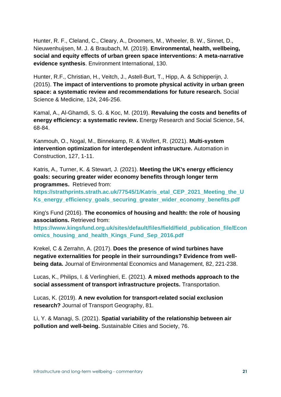Hunter, R. F., Cleland, C., Cleary, A., Droomers, M., Wheeler, B. W., Sinnet, D., Nieuwenhuijsen, M. J. & Braubach, M. (2019). **Environmental, health, wellbeing, social and equity effects of urban green space interventions: A meta-narrative evidence synthesis**. Environment International, 130.

Hunter, R.F., Christian, H., Veitch, J., Astell-Burt, T., Hipp, A. & Schipperijn, J. (2015). **The impact of interventions to promote physical activity in urban green space: a systematic review and recommendations for future research.** Social Science & Medicine*,* 124, 246-256.

Kamal, A., Al-Ghamdi, S. G. & Koc, M. (2019). **Revaluing the costs and benefits of energy efficiency: a systematic review.** Energy Research and Social Science, 54, 68-84.

Kanmouh, O., Nogal, M., Binnekamp, R. & Wolfert, R. (2021). **Multi-system intervention optimization for interdependent infrastructure.** Automation in Construction, 127, 1-11.

Katris, A.*,* Turner, K. & Stewart, J. (2021). **Meeting the UK's energy efficiency goals: securing greater wider economy benefits through longer term programmes.** Retrieved from:

**[https://strathprints.strath.ac.uk/77545/1/Katris\\_etal\\_CEP\\_2021\\_Meeting\\_the\\_U](https://strathprints.strath.ac.uk/77545/1/Katris_etal_CEP_2021_Meeting_the_UKs_energy_efficiency_goals_securing_greater_wider_economy_benefits.pdf) [Ks\\_energy\\_efficiency\\_goals\\_securing\\_greater\\_wider\\_economy\\_benefits.pdf](https://strathprints.strath.ac.uk/77545/1/Katris_etal_CEP_2021_Meeting_the_UKs_energy_efficiency_goals_securing_greater_wider_economy_benefits.pdf)**

King's Fund (2016). **The economics of housing and health: the role of housing associations.** Retrieved from:

**[https://www.kingsfund.org.uk/sites/default/files/field/field\\_publication\\_file/Econ](https://www.kingsfund.org.uk/sites/default/files/field/field_publication_file/Economics_housing_and_health_Kings_Fund_Sep_2016.pdf) [omics\\_housing\\_and\\_health\\_Kings\\_Fund\\_Sep\\_2016.pdf](https://www.kingsfund.org.uk/sites/default/files/field/field_publication_file/Economics_housing_and_health_Kings_Fund_Sep_2016.pdf)**

Krekel, C & Zerrahn, A. (2017). **Does the presence of wind turbines have negative externalities for people in their surroundings? Evidence from wellbeing data.** Journal of Environmental Economics and Management*,* 82, 221-238.

Lucas, K., Philips, I. & Verlinghieri, E. (2021). **A mixed methods approach to the social assessment of transport infrastructure projects.** Transportation.

Lucas, K. (2019). **A new evolution for transport-related social exclusion research?** Journal of Transport Geography, 81.

Li, Y. & Managi, S. (2021). **Spatial variability of the relationship between air pollution and well-being.** Sustainable Cities and Society, 76.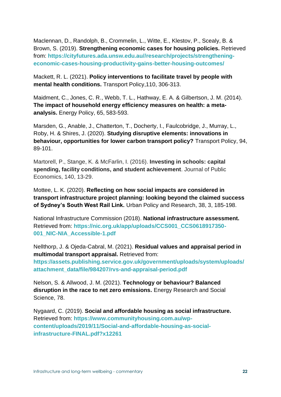Maclennan, D*.*, Randolph, B., Crommelin, L., Witte, E., Klestov, P., Scealy, B. & Brown, S. (2019). **Strengthening economic cases for housing policies.** Retrieved from: **[https://cityfutures.ada.unsw.edu.au//research/projects/strengthening](https://cityfutures.ada.unsw.edu.au/research/projects/strengthening-economic-cases-housing-productivity-gains-better-housing-outcomes/)[economic-cases-housing-productivity-gains-better-housing-outcomes/](https://cityfutures.ada.unsw.edu.au/research/projects/strengthening-economic-cases-housing-productivity-gains-better-housing-outcomes/)**

Mackett, R. L. (2021). **Policy interventions to facilitate travel by people with mental health conditions.** Transport Policy,110, 306-313.

Maidment, C*.*, Jones, C. R., Webb, T. L., Hathway, E. A. & Gilbertson, J. M. (2014). **The impact of household energy efficiency measures on health: a metaanalysis.** Energy Policy, 65, 583-593.

Marsden, G., Anable, J., Chatterton, T., Docherty, I., Faulcobridge, J., Murray, L., Roby, H. & Shires, J. (2020). **Studying disruptive elements: innovations in behaviour, opportunities for lower carbon transport policy?** Transport Policy, 94, 89-101.

Martorell, P., Stange, K. & McFarlin, I. (2016). **Investing in schools: capital spending, facility conditions, and student achievement**. Journal of Public Economics, 140, 13-29.

Mottee, L. K. (2020). **Reflecting on how social impacts are considered in transport infrastructure project planning: looking beyond the claimed success of Sydney's South West Rail Link.** Urban Policy and Research, 38, 3, 185-198.

National Infrastructure Commission (2018). **National infrastructure assessment.**  Retrieved from: **[https://nic.org.uk/app/uploads/CCS001\\_CCS0618917350-](https://nic.org.uk/app/uploads/CCS001_CCS0618917350-001_NIC-NIA_Accessible-1.pdf) [001\\_NIC-NIA\\_Accessible-1.pdf](https://nic.org.uk/app/uploads/CCS001_CCS0618917350-001_NIC-NIA_Accessible-1.pdf)**

Nellthorp, J. & Ojeda-Cabral, M. (2021). **Residual values and appraisal period in multimodal transport appraisal.** Retrieved from: **[https://assets.publishing.service.gov.uk/government/uploads/system/uploads/](https://assets.publishing.service.gov.uk/government/uploads/system/uploads/attachment_data/file/984207/rvs-and-appraisal-period.pdf) [attachment\\_data/file/984207/rvs-and-appraisal-period.pdf](https://assets.publishing.service.gov.uk/government/uploads/system/uploads/attachment_data/file/984207/rvs-and-appraisal-period.pdf)**

Nelson, S. & Allwood, J. M. (2021). **Technology or behaviour? Balanced disruption in the race to net zero emissions.** Energy Research and Social Science, 78.

Nygaard, C. (2019). **Social and affordable housing as social infrastructure.** Retrieved from: **[https://www.communityhousing.com.au/wp](https://www.communityhousing.com.au/wp-content/uploads/2019/11/Social-and-affordable-housing-as-social-infrastructure-FINAL.pdf?x12261)[content/uploads/2019/11/Social-and-affordable-housing-as-social](https://www.communityhousing.com.au/wp-content/uploads/2019/11/Social-and-affordable-housing-as-social-infrastructure-FINAL.pdf?x12261)[infrastructure-FINAL.pdf?x12261](https://www.communityhousing.com.au/wp-content/uploads/2019/11/Social-and-affordable-housing-as-social-infrastructure-FINAL.pdf?x12261)**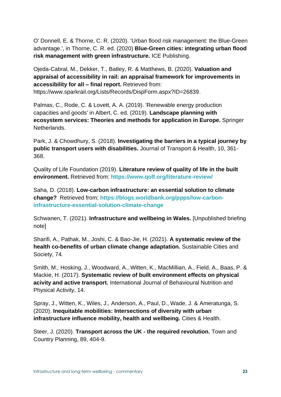O' Donnell, E. & Thorne, C. R. (2020). 'Urban flood risk management: the Blue-Green advantage.', in Thorne, C. R. ed. (2020) **Blue-Green cities: integrating urban flood risk management with green infrastructure.** ICE Publishing.

Ojeda-Cabral, M., Dekker, T., Batley, R. & Matthews, B. (2020). **Valuation and appraisal of accessibility in rail: an appraisal framework for improvements in accessibility for all – final report.** Retrieved from: https://www.sparkrail.org/Lists/Records/DispForm.aspx?ID=26839.

Palmas, C., Rode, C. & Lovett, A. A. (2019). 'Renewable energy production capacities and goods' in Albert, C. ed. (2019). **Landscape planning with ecosystem services: Theories and methods for application in Europe.** Springer Netherlands.

Park, J. & Chowdhury, S. (2018). **Investigating the barriers in a typical journey by public transport users with disabilities.** Journal of Transport & Health, 10, 361- 368.

Quality of Life Foundation (2019). **Literature review of quality of life in the built environment.** Retrieved from: **<https://www.qolf.org/literature-review/>**

Saha, D. (2018). **Low-carbon infrastructure: an essential solution to climate change?** Retrieved from: **[https://blogs.worldbank.org/ppps/low-carbon](https://blogs.worldbank.org/ppps/low-carbon-infrastructure-essential-solution-climate-change)[infrastructure-essential-solution-climate-change](https://blogs.worldbank.org/ppps/low-carbon-infrastructure-essential-solution-climate-change)**

Schwanen, T. (2021). **Infrastructure and wellbeing in Wales.** [Unpublished briefing note]

Sharifi, A., Pathak, M., Joshi, C. & Bao-Jie, H. (2021). **A systematic review of the health co-benefits of urban climate change adaptation.** Sustainable Cities and Society, 74.

Smith, M.*,* Hosking, J., Woodward, A., Witten, K., MacMillian, A., Field, A., Baas, P. & Mackie, H. (2017). **Systematic review of built environment effects on physical acivity and active transport.** International Journal of Behavioural Nutrition and Physical Activity, 14.

Spray, J., Witten, K., Wiles, J., Anderson, A., Paul, D., Wade, J. & Ameratunga, S. (2020). **Inequitable mobilities: Intersections of diversity with urban infrastructure influence mobility, health and wellbeing.** Cities & Health.

Steer, J. (2020). **Transport across the UK - the required revolution.** Town and Country Planning, 89, 404-9.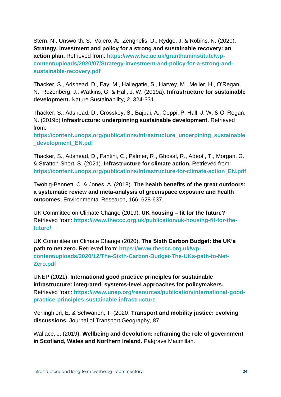Stern, N., Unsworth, S., Valero, A., Zenghelis, D., Rydge, J. & Robins, N. (2020). **Strategy, investment and policy for a strong and sustainable recovery: an action plan.** Retrieved from: **[https://www.lse.ac.uk/granthaminstitute/wp](https://www.lse.ac.uk/granthaminstitute/wp-content/uploads/2020/07/Strategy-investment-and-policy-for-a-strong-and-sustainable-recovery.pdf)[content/uploads/2020/07/Strategy-investment-and-policy-for-a-strong-and](https://www.lse.ac.uk/granthaminstitute/wp-content/uploads/2020/07/Strategy-investment-and-policy-for-a-strong-and-sustainable-recovery.pdf)[sustainable-recovery.pdf](https://www.lse.ac.uk/granthaminstitute/wp-content/uploads/2020/07/Strategy-investment-and-policy-for-a-strong-and-sustainable-recovery.pdf)**

Thacker, S., Adshead, D., Fay, M., Hallegatte, S., Harvey, M., Meller, H., O'Regan, N., Rozenberg, J., Watkins, G. & Hall, J. W. (2019a). **Infrastructure for sustainable development.** Nature Sustainability, 2, 324-331.

Thacker, S., Adshead, D., Crosskey, S., Bajpai, A., Ceppi, P, Hall, J. W. & O' Regan, N. (2019b) **Infrastructure: underpinning sustainable development.** Retrieved from:

**[https://content.unops.org/publications/Infrastructure\\_underpining\\_sustainable](https://content.unops.org/publications/Infrastructure_underpining_sustainable_development_EN.pdf) [\\_development\\_EN.pdf](https://content.unops.org/publications/Infrastructure_underpining_sustainable_development_EN.pdf)**

Thacker, S., Adshead, D., Fantini, C., Palmer, R., Ghosal, R., Adeoti, T., Morgan, G. & Stratton-Short, S. (2021). **Infrastructure for climate action.** Retrieved from: **[https://content.unops.org/publications/Infrastructure-for-climate-action\\_EN.pdf](https://content.unops.org/publications/Infrastructure-for-climate-action_EN.pdf)**

Twohig-Bennett, C. & Jones, A. (2018). **The health benefits of the great outdoors: a systematic review and meta-analysis of greenspace exposure and health outcomes.** Environmental Research, 166, 628-637.

UK Committee on Climate Change (2019). **UK housing – fit for the future?** Retrieved from: **[https://www.theccc.org.uk/publication/uk-housing-fit-for-the](https://www.theccc.org.uk/publication/uk-housing-fit-for-the-future/)[future/](https://www.theccc.org.uk/publication/uk-housing-fit-for-the-future/)**

UK Committee on Climate Change (2020). **The Sixth Carbon Budget: the UK's path to net zero.** Retrieved from: **[https://www.theccc.org.uk/wp](https://www.theccc.org.uk/wp-content/uploads/2020/12/The-Sixth-Carbon-Budget-The-UKs-path-to-Net-Zero.pdf)[content/uploads/2020/12/The-Sixth-Carbon-Budget-The-UKs-path-to-Net-](https://www.theccc.org.uk/wp-content/uploads/2020/12/The-Sixth-Carbon-Budget-The-UKs-path-to-Net-Zero.pdf)[Zero.pdf](https://www.theccc.org.uk/wp-content/uploads/2020/12/The-Sixth-Carbon-Budget-The-UKs-path-to-Net-Zero.pdf)**

UNEP (2021). **International good practice principles for sustainable infrastructure: integrated, systems-level approaches for policymakers.** Retrieved from: **[https://www.unep.org/resources/publication/international-good](https://www.unep.org/resources/publication/international-good-practice-principles-sustainable-infrastructure)[practice-principles-sustainable-infrastructure](https://www.unep.org/resources/publication/international-good-practice-principles-sustainable-infrastructure)**

Verlinghieri, E. & Schwanen, T. (2020. **Transport and mobility justice: evolving discussions.** Journal of Transport Geography, 87.

Wallace, J. (2019). **Wellbeing and devolution: reframing the role of government in Scotland, Wales and Northern Ireland.** Palgrave Macmillan.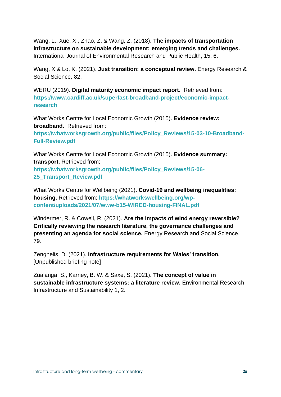Wang, L., Xue, X., Zhao, Z. & Wang, Z. (2018). **The impacts of transportation infrastructure on sustainable development: emerging trends and challenges.** International Journal of Environmental Research and Public Health, 15, 6.

Wang, X & Lo, K. (2021). **Just transition: a conceptual review.** Energy Research & Social Science, 82.

WERU (2019). **Digital maturity economic impact report.** Retrieved from: **[https://www.cardiff.ac.uk/superfast-broadband-project/economic-impact](https://www.cardiff.ac.uk/superfast-broadband-project/economic-impact-research)[research](https://www.cardiff.ac.uk/superfast-broadband-project/economic-impact-research)**

What Works Centre for Local Economic Growth (2015). **Evidence review: broadband.** Retrieved from:

**[https://whatworksgrowth.org/public/files/Policy\\_Reviews/15-03-10-Broadband-](https://whatworksgrowth.org/public/files/Policy_Reviews/15-03-10-Broadband-Full-Review.pdf)[Full-Review.pdf](https://whatworksgrowth.org/public/files/Policy_Reviews/15-03-10-Broadband-Full-Review.pdf)**

What Works Centre for Local Economic Growth (2015). **Evidence summary: transport.** Retrieved from:

**[https://whatworksgrowth.org/public/files/Policy\\_Reviews/15-06-](https://whatworksgrowth.org/public/files/Policy_Reviews/15-06-25_Transport_Review.pdf) [25\\_Transport\\_Review.pdf](https://whatworksgrowth.org/public/files/Policy_Reviews/15-06-25_Transport_Review.pdf)**

What Works Centre for Wellbeing (2021). **Covid-19 and wellbeing inequalities: housing.** Retrieved from: **[https://whatworkswellbeing.org/wp](https://whatworkswellbeing.org/wp-content/uploads/2021/07/www-b15-WIRED-housing-FINAL.pdf)[content/uploads/2021/07/www-b15-WIRED-housing-FINAL.pdf](https://whatworkswellbeing.org/wp-content/uploads/2021/07/www-b15-WIRED-housing-FINAL.pdf)**

Windermer, R. & Cowell, R. (2021). **Are the impacts of wind energy reversible? Critically reviewing the research literature, the governance challenges and presenting an agenda for social science.** Energy Research and Social Science, 79.

Zenghelis, D. (2021). **Infrastructure requirements for Wales' transition.** [Unpublished briefing note]

Zualanga, S., Karney, B. W. & Saxe, S. (2021). **The concept of value in sustainable infrastructure systems: a literature review.** Environmental Research Infrastructure and Sustainability 1, 2.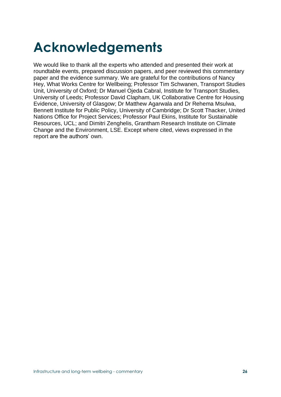## **Acknowledgements**

We would like to thank all the experts who attended and presented their work at roundtable events, prepared discussion papers, and peer reviewed this commentary paper and the evidence summary. We are grateful for the contributions of Nancy Hey, What Works Centre for Wellbeing; Professor Tim Schwanen, Transport Studies Unit, University of Oxford; Dr Manuel Ojeda Cabral, Institute for Transport Studies, University of Leeds; Professor David Clapham, UK Collaborative Centre for Housing Evidence, University of Glasgow; Dr Matthew Agarwala and Dr Rehema Msulwa, Bennett Institute for Public Policy, University of Cambridge; Dr Scott Thacker, United Nations Office for Project Services; Professor Paul Ekins, Institute for Sustainable Resources, UCL; and Dimitri Zenghelis, Grantham Research Institute on Climate Change and the Environment, LSE. Except where cited, views expressed in the report are the authors' own.